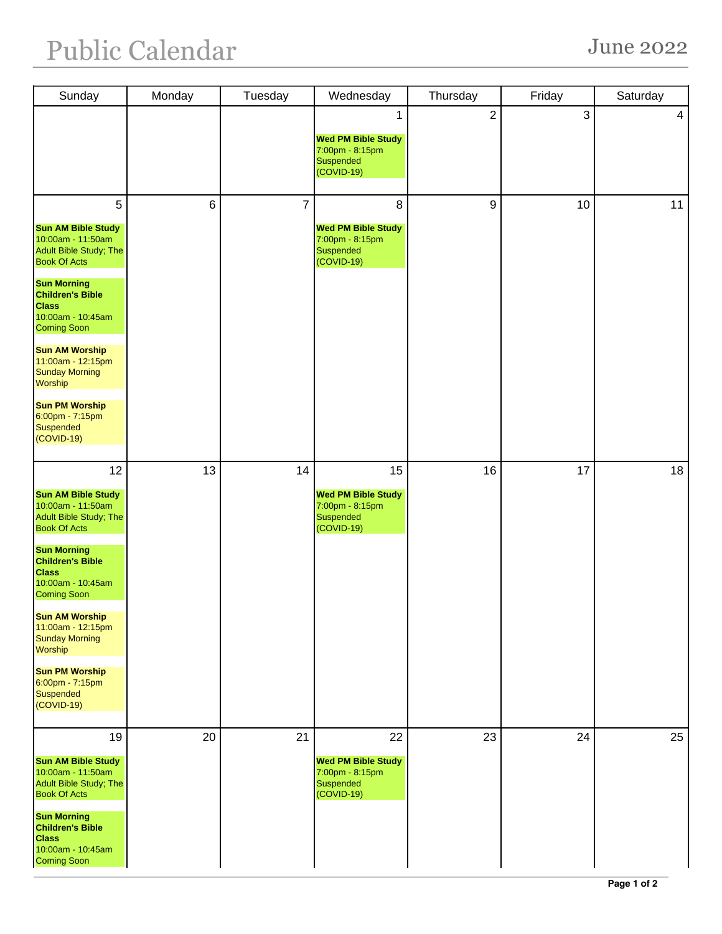| Sunday                                                                                                                                                                                                                                                                                                                                                                                 | Monday          | Tuesday        | Wednesday                                                                      | Thursday       | Friday | Saturday |
|----------------------------------------------------------------------------------------------------------------------------------------------------------------------------------------------------------------------------------------------------------------------------------------------------------------------------------------------------------------------------------------|-----------------|----------------|--------------------------------------------------------------------------------|----------------|--------|----------|
|                                                                                                                                                                                                                                                                                                                                                                                        |                 |                | 1<br><b>Wed PM Bible Study</b><br>7:00pm - 8:15pm<br>Suspended<br>$(COVID-19)$ | $\overline{2}$ | 3      | 4        |
| 5<br><b>Sun AM Bible Study</b><br>10:00am - 11:50am<br>Adult Bible Study; The<br><b>Book Of Acts</b><br><b>Sun Morning</b><br><b>Children's Bible</b><br><b>Class</b><br>10:00am - 10:45am<br><b>Coming Soon</b><br><b>Sun AM Worship</b><br>11:00am - 12:15pm<br><b>Sunday Morning</b><br><b>Worship</b><br><b>Sun PM Worship</b><br>$6:00$ pm - 7:15pm<br>Suspended<br>(COVID-19)    | $6\phantom{1}6$ | $\overline{7}$ | 8<br><b>Wed PM Bible Study</b><br>7:00pm - 8:15pm<br>Suspended<br>(COVID-19)   | 9              | 10     | 11       |
| 12<br><b>Sun AM Bible Study</b><br>10:00am - 11:50am<br>Adult Bible Study; The<br><b>Book Of Acts</b><br><b>Sun Morning</b><br><b>Children's Bible</b><br><b>Class</b><br>10:00am - 10:45am<br><b>Coming Soon</b><br><b>Sun AM Worship</b><br>11:00am - 12:15pm<br><b>Sunday Morning</b><br>Worship<br><b>Sun PM Worship</b><br>$6:00$ pm - 7:15pm<br><b>Suspended</b><br>$(COVID-19)$ | 13              | 14             | 15<br><b>Wed PM Bible Study</b><br>7:00pm - 8:15pm<br>Suspended<br>(COVID-19)  | 16             | 17     | 18       |
| 19<br><b>Sun AM Bible Study</b><br>10:00am - 11:50am<br>Adult Bible Study; The<br><b>Book Of Acts</b><br><b>Sun Morning</b><br><b>Children's Bible</b><br><b>Class</b><br>10:00am - 10:45am<br><b>Coming Soon</b>                                                                                                                                                                      | 20              | 21             | 22<br><b>Wed PM Bible Study</b><br>7:00pm - 8:15pm<br>Suspended<br>(COVID-19)  | 23             | 24     | 25       |